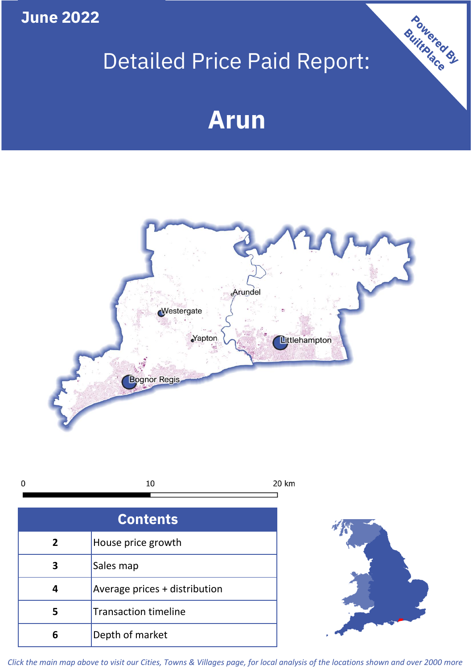**June 2022**

## Detailed Price Paid Report:

# **Arun**





| <b>Contents</b> |                               |  |  |
|-----------------|-------------------------------|--|--|
| $\overline{2}$  | House price growth            |  |  |
|                 | Sales map                     |  |  |
|                 | Average prices + distribution |  |  |
| 5               | <b>Transaction timeline</b>   |  |  |
| 6               | Depth of market               |  |  |



Powered By

*Click the main map above to visit our Cities, Towns & Villages page, for local analysis of the locations shown and over 2000 more*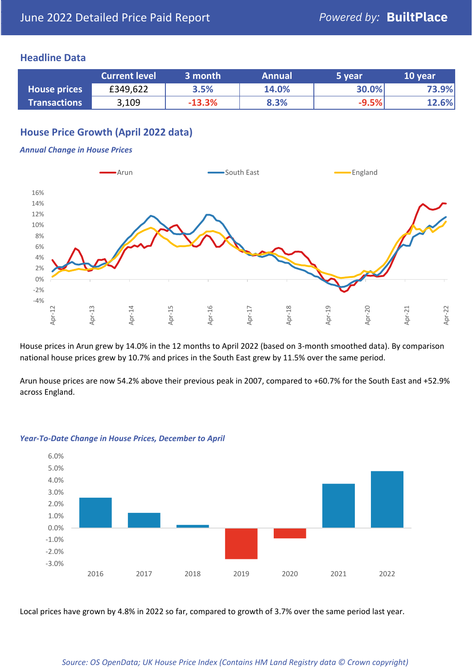#### **Headline Data**

|                     | <b>Current level</b> | 3 month  | <b>Annual</b> | 5 year  | 10 year |
|---------------------|----------------------|----------|---------------|---------|---------|
| <b>House prices</b> | £349,622             | 3.5%     | 14.0%         | 30.0%   | 73.9%   |
| <b>Transactions</b> | 3,109                | $-13.3%$ | 8.3%          | $-9.5%$ | 12.6%   |

#### **House Price Growth (April 2022 data)**

#### *Annual Change in House Prices*



House prices in Arun grew by 14.0% in the 12 months to April 2022 (based on 3-month smoothed data). By comparison national house prices grew by 10.7% and prices in the South East grew by 11.5% over the same period.

Arun house prices are now 54.2% above their previous peak in 2007, compared to +60.7% for the South East and +52.9% across England.



#### *Year-To-Date Change in House Prices, December to April*

Local prices have grown by 4.8% in 2022 so far, compared to growth of 3.7% over the same period last year.

#### *Source: OS OpenData; UK House Price Index (Contains HM Land Registry data © Crown copyright)*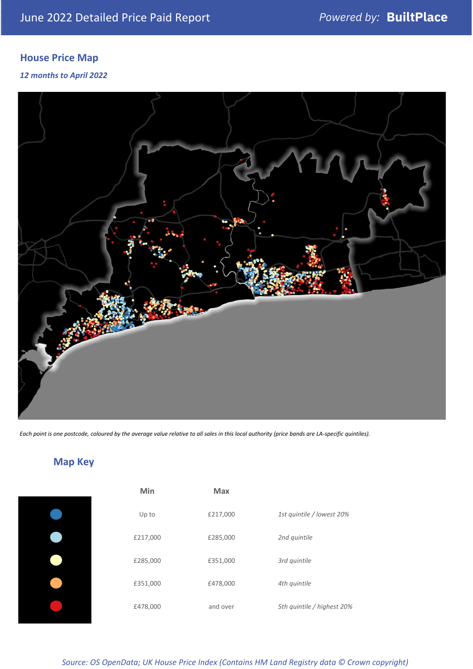### **House Price Map**

#### *12 months to April 2022*



*Each point is one postcode, coloured by the average value relative to all sales in this local authority (price bands are LA-specific quintiles).*

### **Map Key**

| Min      | <b>Max</b> |                            |
|----------|------------|----------------------------|
| Up to    | £217,000   | 1st quintile / lowest 20%  |
| £217,000 | £285,000   | 2nd quintile               |
| £285,000 | £351,000   | 3rd quintile               |
| £351,000 | £478,000   | 4th quintile               |
| £478,000 | and over   | 5th quintile / highest 20% |

#### *Source: OS OpenData; UK House Price Index (Contains HM Land Registry data © Crown copyright)*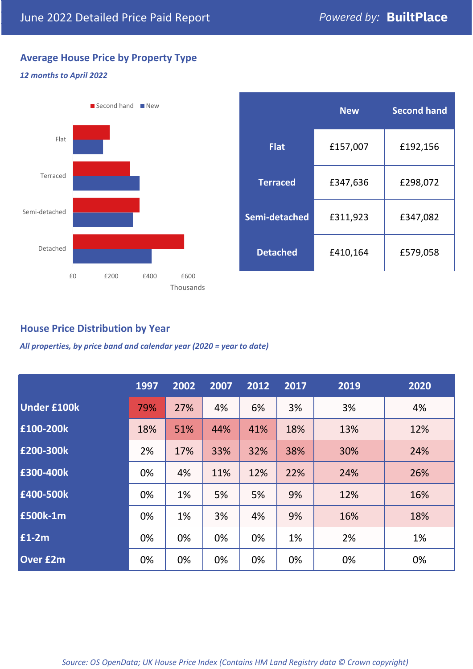#### **Average House Price by Property Type**

#### *12 months to April 2022*



#### **House Price Distribution by Year**

*All properties, by price band and calendar year (2020 = year to date)*

|                    | 1997 | 2002 | 2007 | 2012 | 2017 | 2019 | 2020 |
|--------------------|------|------|------|------|------|------|------|
| <b>Under £100k</b> | 79%  | 27%  | 4%   | 6%   | 3%   | 3%   | 4%   |
| £100-200k          | 18%  | 51%  | 44%  | 41%  | 18%  | 13%  | 12%  |
| E200-300k          | 2%   | 17%  | 33%  | 32%  | 38%  | 30%  | 24%  |
| £300-400k          | 0%   | 4%   | 11%  | 12%  | 22%  | 24%  | 26%  |
| £400-500k          | 0%   | 1%   | 5%   | 5%   | 9%   | 12%  | 16%  |
| <b>£500k-1m</b>    | 0%   | 1%   | 3%   | 4%   | 9%   | 16%  | 18%  |
| £1-2m              | 0%   | 0%   | 0%   | 0%   | 1%   | 2%   | 1%   |
| <b>Over £2m</b>    | 0%   | 0%   | 0%   | 0%   | 0%   | 0%   | 0%   |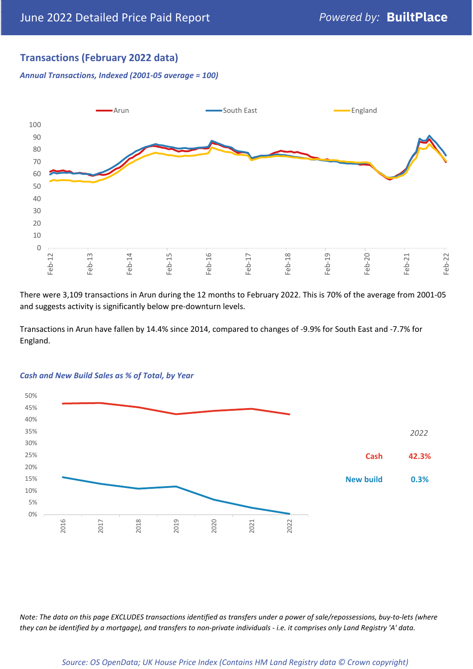#### **Transactions (February 2022 data)**

*Annual Transactions, Indexed (2001-05 average = 100)*



There were 3,109 transactions in Arun during the 12 months to February 2022. This is 70% of the average from 2001-05 and suggests activity is significantly below pre-downturn levels.

Transactions in Arun have fallen by 14.4% since 2014, compared to changes of -9.9% for South East and -7.7% for England.



#### *Cash and New Build Sales as % of Total, by Year*

*Note: The data on this page EXCLUDES transactions identified as transfers under a power of sale/repossessions, buy-to-lets (where they can be identified by a mortgage), and transfers to non-private individuals - i.e. it comprises only Land Registry 'A' data.*